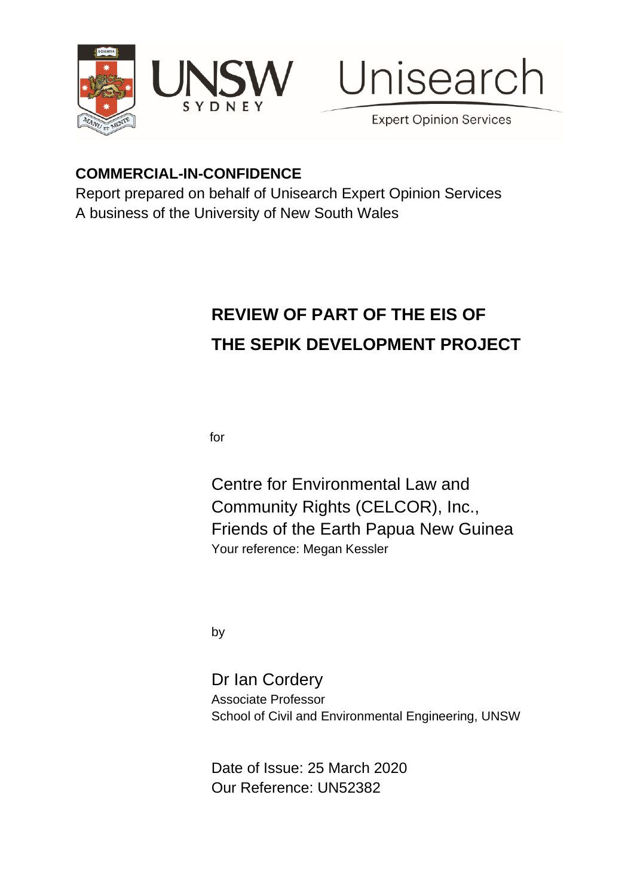





**Expert Opinion Services** 

# **COMMERCIAL-IN-CONFIDENCE**

Report prepared on behalf of Unisearch Expert Opinion Services A business of the University of New South Wales

# **REVIEW OF PART OF THE EIS OF THE SEPIK DEVELOPMENT PROJECT**

for

Centre for Environmental Law and Community Rights (CELCOR), Inc., Friends of the Earth Papua New Guinea Your reference: Megan Kessler

by

Dr Ian Cordery Associate Professor School of Civil and Environmental Engineering, UNSW

Date of Issue: 25 March 2020 Our Reference: UN52382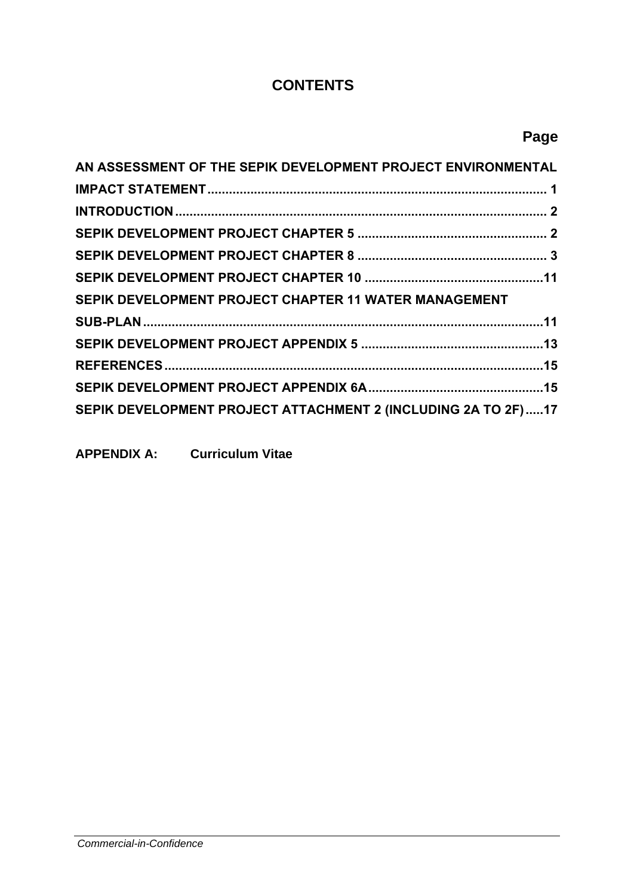## **CONTENTS**

# **Page**

| AN ASSESSMENT OF THE SEPIK DEVELOPMENT PROJECT ENVIRONMENTAL  |  |
|---------------------------------------------------------------|--|
|                                                               |  |
|                                                               |  |
|                                                               |  |
|                                                               |  |
|                                                               |  |
| SEPIK DEVELOPMENT PROJECT CHAPTER 11 WATER MANAGEMENT         |  |
|                                                               |  |
|                                                               |  |
|                                                               |  |
|                                                               |  |
| SEPIK DEVELOPMENT PROJECT ATTACHMENT 2 (INCLUDING 2A TO 2F)17 |  |

**APPENDIX A: Curriculum Vitae**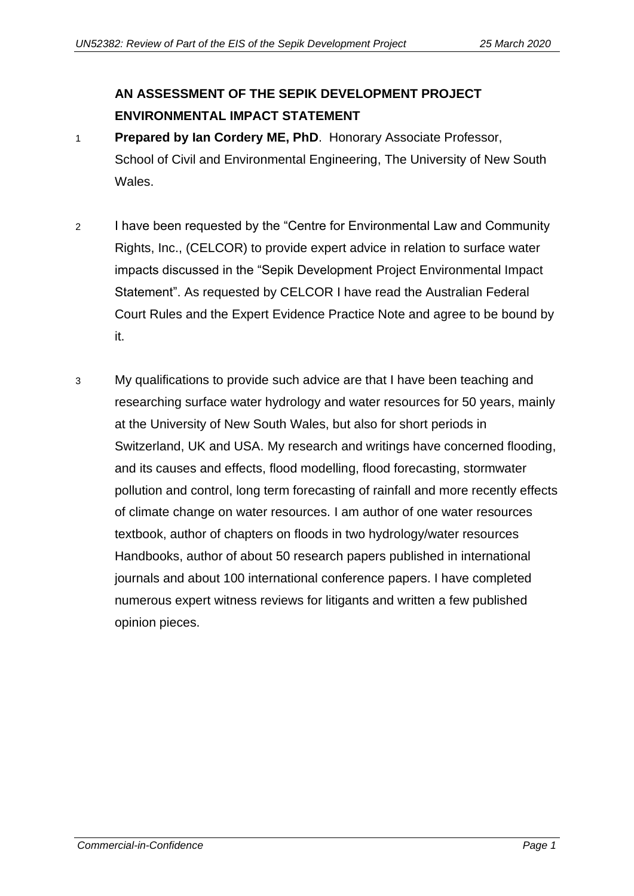# <span id="page-2-0"></span>**AN ASSESSMENT OF THE SEPIK DEVELOPMENT PROJECT ENVIRONMENTAL IMPACT STATEMENT**

- 1 **Prepared by Ian Cordery ME, PhD**. Honorary Associate Professor, School of Civil and Environmental Engineering, The University of New South Wales.
- 2 I have been requested by the "Centre for Environmental Law and Community Rights, Inc., (CELCOR) to provide expert advice in relation to surface water impacts discussed in the "Sepik Development Project Environmental Impact Statement". As requested by CELCOR I have read the Australian Federal Court Rules and the Expert Evidence Practice Note and agree to be bound by it.
- 3 My qualifications to provide such advice are that I have been teaching and researching surface water hydrology and water resources for 50 years, mainly at the University of New South Wales, but also for short periods in Switzerland, UK and USA. My research and writings have concerned flooding, and its causes and effects, flood modelling, flood forecasting, stormwater pollution and control, long term forecasting of rainfall and more recently effects of climate change on water resources. I am author of one water resources textbook, author of chapters on floods in two hydrology/water resources Handbooks, author of about 50 research papers published in international journals and about 100 international conference papers. I have completed numerous expert witness reviews for litigants and written a few published opinion pieces.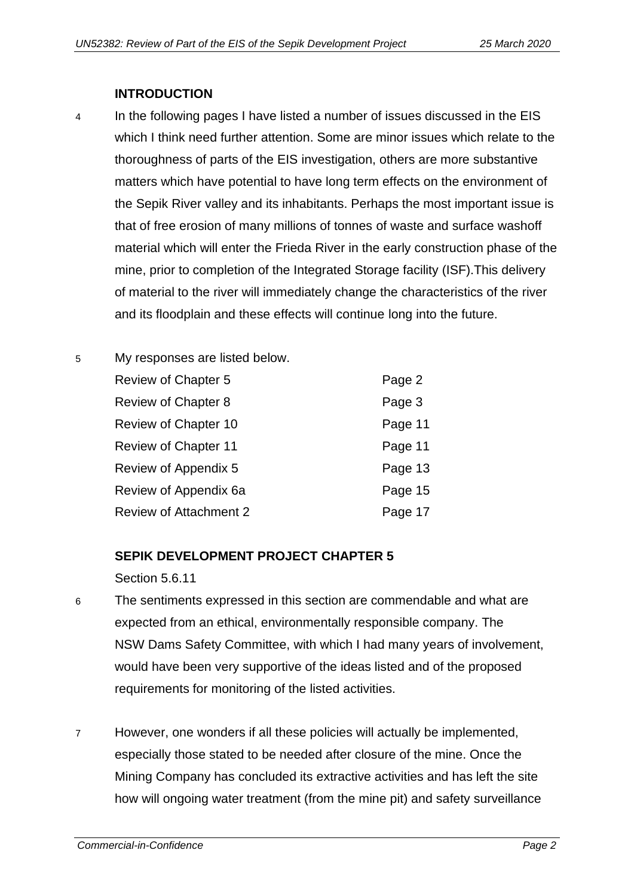#### **INTRODUCTION**

- <span id="page-3-0"></span>4 In the following pages I have listed a number of issues discussed in the EIS which I think need further attention. Some are minor issues which relate to the thoroughness of parts of the EIS investigation, others are more substantive matters which have potential to have long term effects on the environment of the Sepik River valley and its inhabitants. Perhaps the most important issue is that of free erosion of many millions of tonnes of waste and surface washoff material which will enter the Frieda River in the early construction phase of the mine, prior to completion of the Integrated Storage facility (ISF).This delivery of material to the river will immediately change the characteristics of the river and its floodplain and these effects will continue long into the future.
- 5 My responses are listed below.

| Review of Chapter 5           | Page 2  |
|-------------------------------|---------|
| <b>Review of Chapter 8</b>    | Page 3  |
| Review of Chapter 10          | Page 11 |
| <b>Review of Chapter 11</b>   | Page 11 |
| Review of Appendix 5          | Page 13 |
| Review of Appendix 6a         | Page 15 |
| <b>Review of Attachment 2</b> | Page 17 |

#### <span id="page-3-1"></span>**SEPIK DEVELOPMENT PROJECT CHAPTER 5**

Section 5.6.11

- 6 The sentiments expressed in this section are commendable and what are expected from an ethical, environmentally responsible company. The NSW Dams Safety Committee, with which I had many years of involvement, would have been very supportive of the ideas listed and of the proposed requirements for monitoring of the listed activities.
- 7 However, one wonders if all these policies will actually be implemented, especially those stated to be needed after closure of the mine. Once the Mining Company has concluded its extractive activities and has left the site how will ongoing water treatment (from the mine pit) and safety surveillance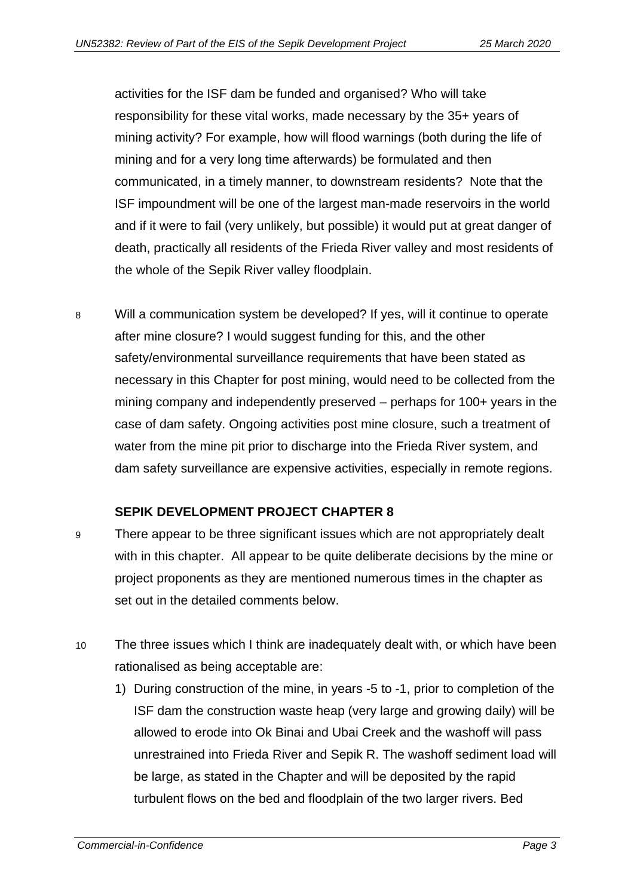activities for the ISF dam be funded and organised? Who will take responsibility for these vital works, made necessary by the 35+ years of mining activity? For example, how will flood warnings (both during the life of mining and for a very long time afterwards) be formulated and then communicated, in a timely manner, to downstream residents? Note that the ISF impoundment will be one of the largest man-made reservoirs in the world and if it were to fail (very unlikely, but possible) it would put at great danger of death, practically all residents of the Frieda River valley and most residents of the whole of the Sepik River valley floodplain.

8 Will a communication system be developed? If yes, will it continue to operate after mine closure? I would suggest funding for this, and the other safety/environmental surveillance requirements that have been stated as necessary in this Chapter for post mining, would need to be collected from the mining company and independently preserved – perhaps for 100+ years in the case of dam safety. Ongoing activities post mine closure, such a treatment of water from the mine pit prior to discharge into the Frieda River system, and dam safety surveillance are expensive activities, especially in remote regions.

#### **SEPIK DEVELOPMENT PROJECT CHAPTER 8**

- <span id="page-4-0"></span>9 There appear to be three significant issues which are not appropriately dealt with in this chapter. All appear to be quite deliberate decisions by the mine or project proponents as they are mentioned numerous times in the chapter as set out in the detailed comments below.
- 10 The three issues which I think are inadequately dealt with, or which have been rationalised as being acceptable are:
	- 1) During construction of the mine, in years -5 to -1, prior to completion of the ISF dam the construction waste heap (very large and growing daily) will be allowed to erode into Ok Binai and Ubai Creek and the washoff will pass unrestrained into Frieda River and Sepik R. The washoff sediment load will be large, as stated in the Chapter and will be deposited by the rapid turbulent flows on the bed and floodplain of the two larger rivers. Bed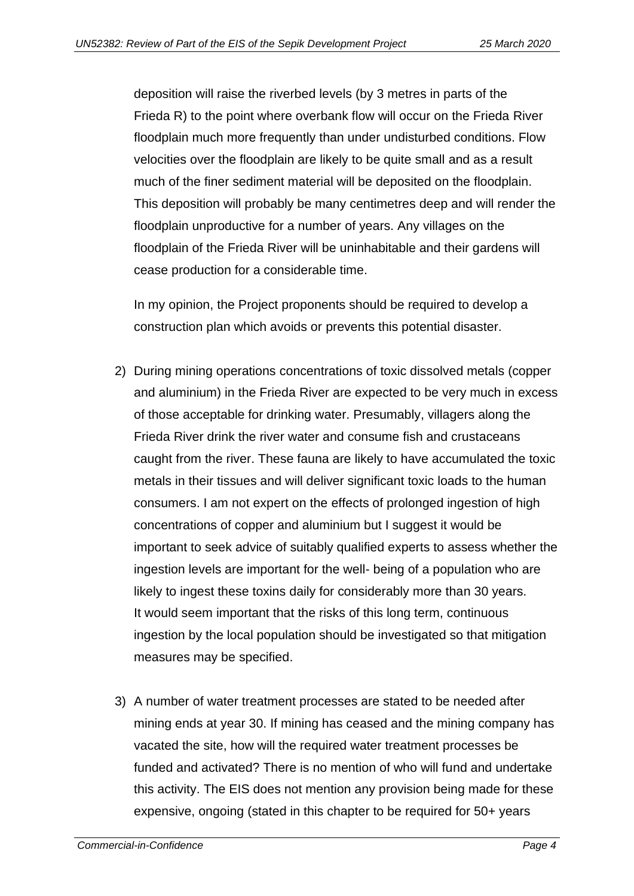deposition will raise the riverbed levels (by 3 metres in parts of the Frieda R) to the point where overbank flow will occur on the Frieda River floodplain much more frequently than under undisturbed conditions. Flow velocities over the floodplain are likely to be quite small and as a result much of the finer sediment material will be deposited on the floodplain. This deposition will probably be many centimetres deep and will render the floodplain unproductive for a number of years. Any villages on the floodplain of the Frieda River will be uninhabitable and their gardens will cease production for a considerable time.

In my opinion, the Project proponents should be required to develop a construction plan which avoids or prevents this potential disaster.

- 2) During mining operations concentrations of toxic dissolved metals (copper and aluminium) in the Frieda River are expected to be very much in excess of those acceptable for drinking water. Presumably, villagers along the Frieda River drink the river water and consume fish and crustaceans caught from the river. These fauna are likely to have accumulated the toxic metals in their tissues and will deliver significant toxic loads to the human consumers. I am not expert on the effects of prolonged ingestion of high concentrations of copper and aluminium but I suggest it would be important to seek advice of suitably qualified experts to assess whether the ingestion levels are important for the well- being of a population who are likely to ingest these toxins daily for considerably more than 30 years. It would seem important that the risks of this long term, continuous ingestion by the local population should be investigated so that mitigation measures may be specified.
- 3) A number of water treatment processes are stated to be needed after mining ends at year 30. If mining has ceased and the mining company has vacated the site, how will the required water treatment processes be funded and activated? There is no mention of who will fund and undertake this activity. The EIS does not mention any provision being made for these expensive, ongoing (stated in this chapter to be required for 50+ years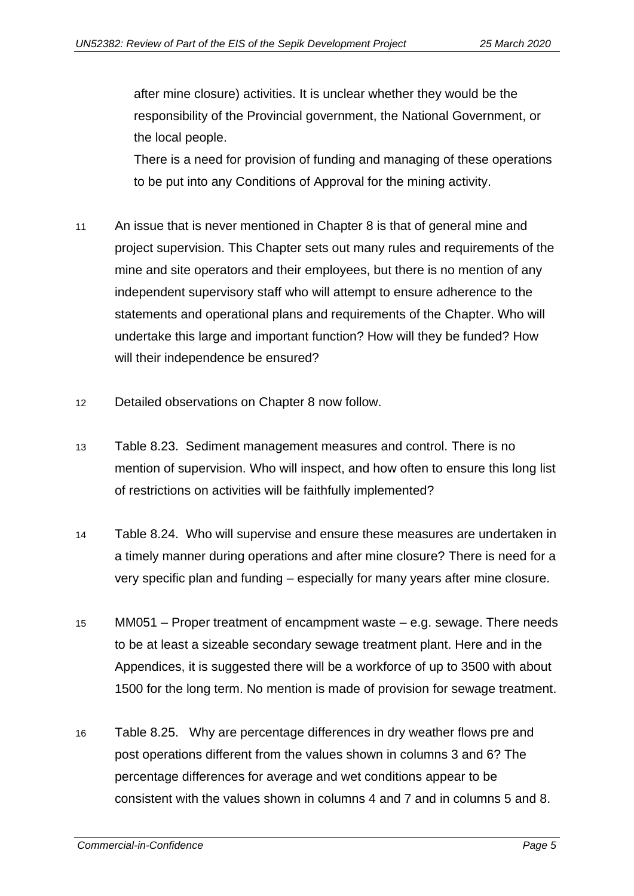after mine closure) activities. It is unclear whether they would be the responsibility of the Provincial government, the National Government, or the local people.

There is a need for provision of funding and managing of these operations to be put into any Conditions of Approval for the mining activity.

- 11 An issue that is never mentioned in Chapter 8 is that of general mine and project supervision. This Chapter sets out many rules and requirements of the mine and site operators and their employees, but there is no mention of any independent supervisory staff who will attempt to ensure adherence to the statements and operational plans and requirements of the Chapter. Who will undertake this large and important function? How will they be funded? How will their independence be ensured?
- 12 Detailed observations on Chapter 8 now follow.
- 13 Table 8.23. Sediment management measures and control. There is no mention of supervision. Who will inspect, and how often to ensure this long list of restrictions on activities will be faithfully implemented?
- 14 Table 8.24. Who will supervise and ensure these measures are undertaken in a timely manner during operations and after mine closure? There is need for a very specific plan and funding – especially for many years after mine closure.
- 15 MM051 Proper treatment of encampment waste e.g. sewage. There needs to be at least a sizeable secondary sewage treatment plant. Here and in the Appendices, it is suggested there will be a workforce of up to 3500 with about 1500 for the long term. No mention is made of provision for sewage treatment.
- 16 Table 8.25. Why are percentage differences in dry weather flows pre and post operations different from the values shown in columns 3 and 6? The percentage differences for average and wet conditions appear to be consistent with the values shown in columns 4 and 7 and in columns 5 and 8.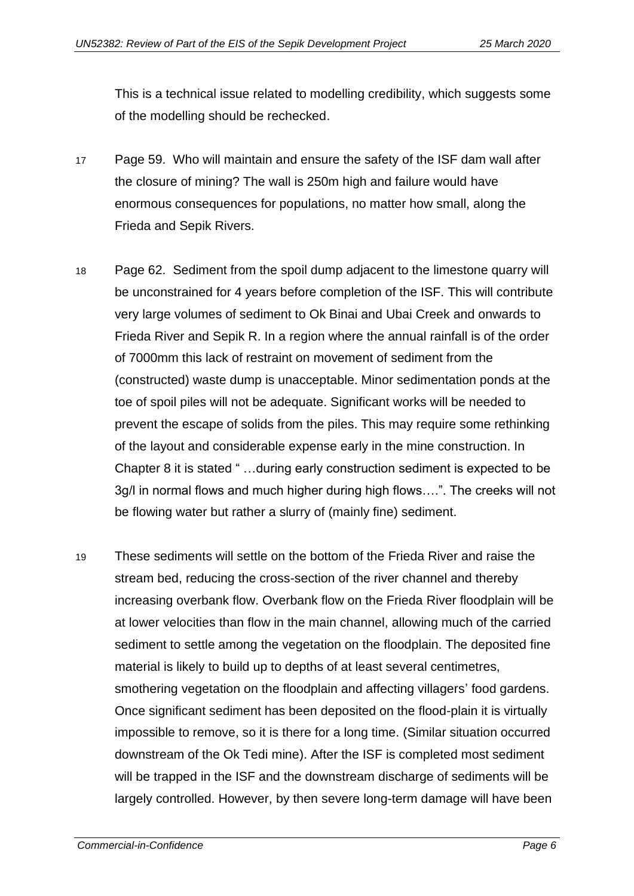This is a technical issue related to modelling credibility, which suggests some of the modelling should be rechecked.

- 17 Page 59. Who will maintain and ensure the safety of the ISF dam wall after the closure of mining? The wall is 250m high and failure would have enormous consequences for populations, no matter how small, along the Frieda and Sepik Rivers.
- 18 Page 62. Sediment from the spoil dump adjacent to the limestone quarry will be unconstrained for 4 years before completion of the ISF. This will contribute very large volumes of sediment to Ok Binai and Ubai Creek and onwards to Frieda River and Sepik R. In a region where the annual rainfall is of the order of 7000mm this lack of restraint on movement of sediment from the (constructed) waste dump is unacceptable. Minor sedimentation ponds at the toe of spoil piles will not be adequate. Significant works will be needed to prevent the escape of solids from the piles. This may require some rethinking of the layout and considerable expense early in the mine construction. In Chapter 8 it is stated " …during early construction sediment is expected to be 3g/l in normal flows and much higher during high flows….". The creeks will not be flowing water but rather a slurry of (mainly fine) sediment.
- 19 These sediments will settle on the bottom of the Frieda River and raise the stream bed, reducing the cross-section of the river channel and thereby increasing overbank flow. Overbank flow on the Frieda River floodplain will be at lower velocities than flow in the main channel, allowing much of the carried sediment to settle among the vegetation on the floodplain. The deposited fine material is likely to build up to depths of at least several centimetres, smothering vegetation on the floodplain and affecting villagers' food gardens. Once significant sediment has been deposited on the flood-plain it is virtually impossible to remove, so it is there for a long time. (Similar situation occurred downstream of the Ok Tedi mine). After the ISF is completed most sediment will be trapped in the ISF and the downstream discharge of sediments will be largely controlled. However, by then severe long-term damage will have been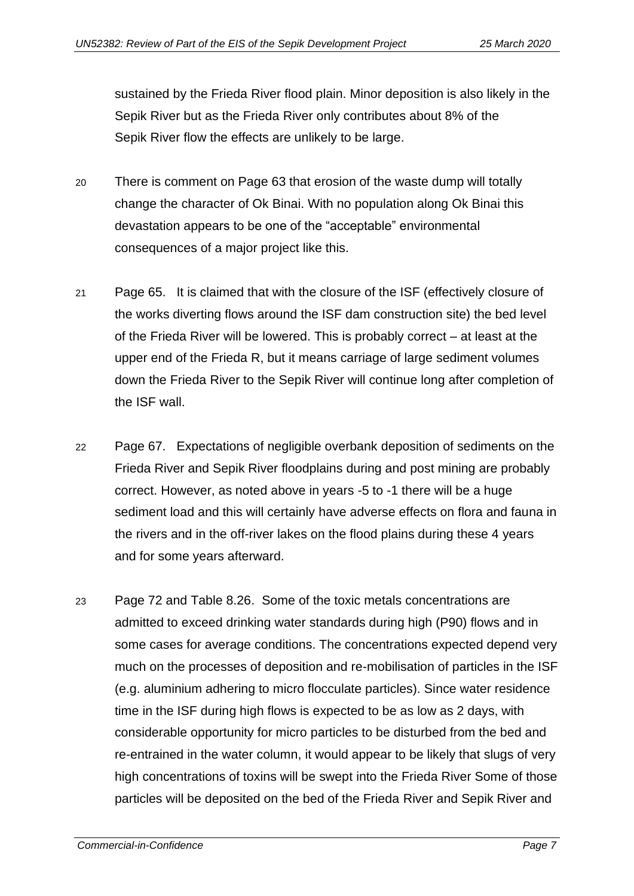sustained by the Frieda River flood plain. Minor deposition is also likely in the Sepik River but as the Frieda River only contributes about 8% of the Sepik River flow the effects are unlikely to be large.

- 20 There is comment on Page 63 that erosion of the waste dump will totally change the character of Ok Binai. With no population along Ok Binai this devastation appears to be one of the "acceptable" environmental consequences of a major project like this.
- 21 Page 65. It is claimed that with the closure of the ISF (effectively closure of the works diverting flows around the ISF dam construction site) the bed level of the Frieda River will be lowered. This is probably correct – at least at the upper end of the Frieda R, but it means carriage of large sediment volumes down the Frieda River to the Sepik River will continue long after completion of the ISF wall.
- 22 Page 67. Expectations of negligible overbank deposition of sediments on the Frieda River and Sepik River floodplains during and post mining are probably correct. However, as noted above in years -5 to -1 there will be a huge sediment load and this will certainly have adverse effects on flora and fauna in the rivers and in the off-river lakes on the flood plains during these 4 years and for some years afterward.
- 23 Page 72 and Table 8.26. Some of the toxic metals concentrations are admitted to exceed drinking water standards during high (P90) flows and in some cases for average conditions. The concentrations expected depend very much on the processes of deposition and re-mobilisation of particles in the ISF (e.g. aluminium adhering to micro flocculate particles). Since water residence time in the ISF during high flows is expected to be as low as 2 days, with considerable opportunity for micro particles to be disturbed from the bed and re-entrained in the water column, it would appear to be likely that slugs of very high concentrations of toxins will be swept into the Frieda River Some of those particles will be deposited on the bed of the Frieda River and Sepik River and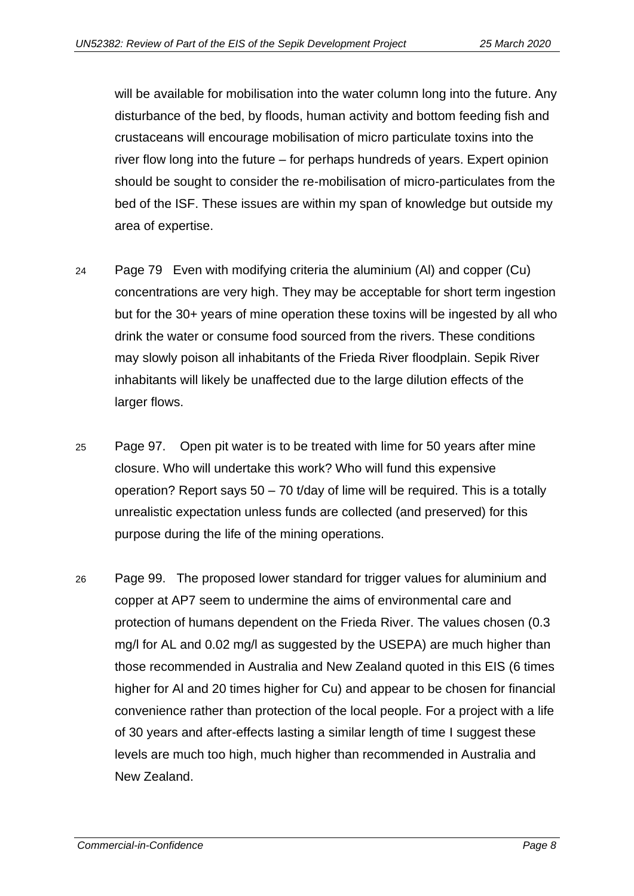will be available for mobilisation into the water column long into the future. Any disturbance of the bed, by floods, human activity and bottom feeding fish and crustaceans will encourage mobilisation of micro particulate toxins into the river flow long into the future – for perhaps hundreds of years. Expert opinion should be sought to consider the re-mobilisation of micro-particulates from the bed of the ISF. These issues are within my span of knowledge but outside my area of expertise.

- 24 Page 79 Even with modifying criteria the aluminium (Al) and copper (Cu) concentrations are very high. They may be acceptable for short term ingestion but for the 30+ years of mine operation these toxins will be ingested by all who drink the water or consume food sourced from the rivers. These conditions may slowly poison all inhabitants of the Frieda River floodplain. Sepik River inhabitants will likely be unaffected due to the large dilution effects of the larger flows.
- 25 Page 97. Open pit water is to be treated with lime for 50 years after mine closure. Who will undertake this work? Who will fund this expensive operation? Report says 50 – 70 t/day of lime will be required. This is a totally unrealistic expectation unless funds are collected (and preserved) for this purpose during the life of the mining operations.
- 26 Page 99. The proposed lower standard for trigger values for aluminium and copper at AP7 seem to undermine the aims of environmental care and protection of humans dependent on the Frieda River. The values chosen (0.3 mg/l for AL and 0.02 mg/l as suggested by the USEPA) are much higher than those recommended in Australia and New Zealand quoted in this EIS (6 times higher for Al and 20 times higher for Cu) and appear to be chosen for financial convenience rather than protection of the local people. For a project with a life of 30 years and after-effects lasting a similar length of time I suggest these levels are much too high, much higher than recommended in Australia and New Zealand.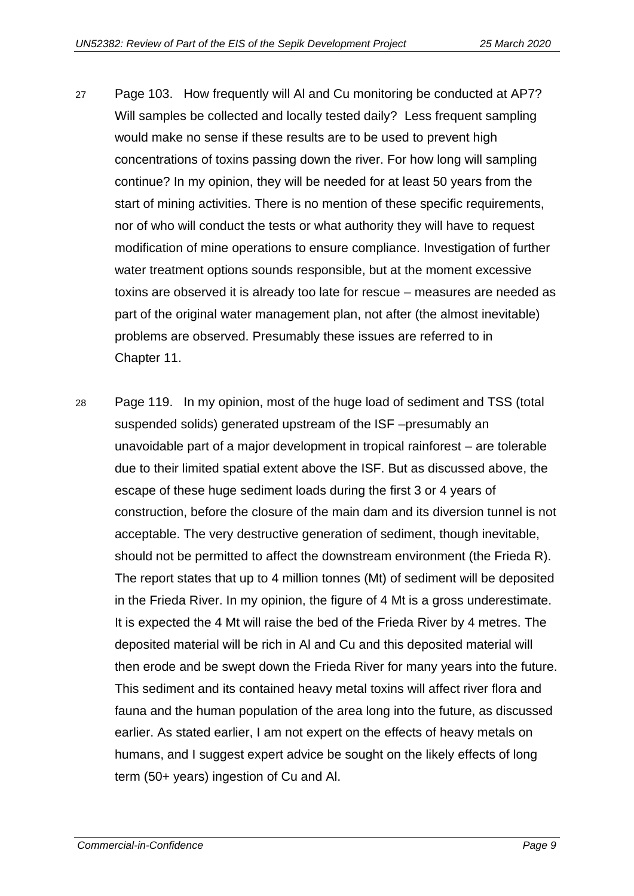- 27 Page 103. How frequently will Al and Cu monitoring be conducted at AP7? Will samples be collected and locally tested daily? Less frequent sampling would make no sense if these results are to be used to prevent high concentrations of toxins passing down the river. For how long will sampling continue? In my opinion, they will be needed for at least 50 years from the start of mining activities. There is no mention of these specific requirements, nor of who will conduct the tests or what authority they will have to request modification of mine operations to ensure compliance. Investigation of further water treatment options sounds responsible, but at the moment excessive toxins are observed it is already too late for rescue – measures are needed as part of the original water management plan, not after (the almost inevitable) problems are observed. Presumably these issues are referred to in Chapter 11.
- 28 Page 119. In my opinion, most of the huge load of sediment and TSS (total suspended solids) generated upstream of the ISF –presumably an unavoidable part of a major development in tropical rainforest – are tolerable due to their limited spatial extent above the ISF. But as discussed above, the escape of these huge sediment loads during the first 3 or 4 years of construction, before the closure of the main dam and its diversion tunnel is not acceptable. The very destructive generation of sediment, though inevitable, should not be permitted to affect the downstream environment (the Frieda R). The report states that up to 4 million tonnes (Mt) of sediment will be deposited in the Frieda River. In my opinion, the figure of 4 Mt is a gross underestimate. It is expected the 4 Mt will raise the bed of the Frieda River by 4 metres. The deposited material will be rich in Al and Cu and this deposited material will then erode and be swept down the Frieda River for many years into the future. This sediment and its contained heavy metal toxins will affect river flora and fauna and the human population of the area long into the future, as discussed earlier. As stated earlier, I am not expert on the effects of heavy metals on humans, and I suggest expert advice be sought on the likely effects of long term (50+ years) ingestion of Cu and Al.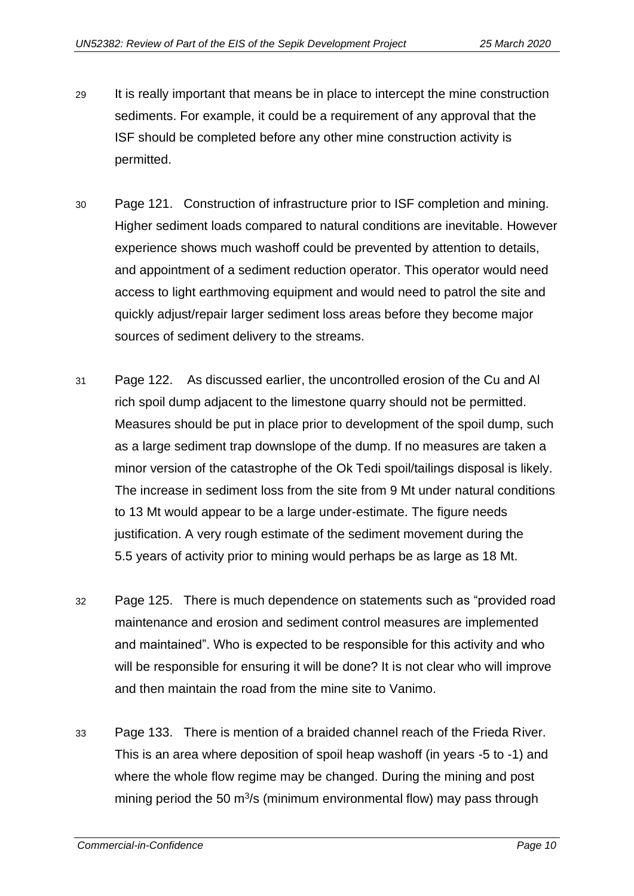- 29 It is really important that means be in place to intercept the mine construction sediments. For example, it could be a requirement of any approval that the ISF should be completed before any other mine construction activity is permitted.
- 30 Page 121. Construction of infrastructure prior to ISF completion and mining. Higher sediment loads compared to natural conditions are inevitable. However experience shows much washoff could be prevented by attention to details, and appointment of a sediment reduction operator. This operator would need access to light earthmoving equipment and would need to patrol the site and quickly adjust/repair larger sediment loss areas before they become major sources of sediment delivery to the streams.
- 31 Page 122. As discussed earlier, the uncontrolled erosion of the Cu and Al rich spoil dump adjacent to the limestone quarry should not be permitted. Measures should be put in place prior to development of the spoil dump, such as a large sediment trap downslope of the dump. If no measures are taken a minor version of the catastrophe of the Ok Tedi spoil/tailings disposal is likely. The increase in sediment loss from the site from 9 Mt under natural conditions to 13 Mt would appear to be a large under-estimate. The figure needs justification. A very rough estimate of the sediment movement during the 5.5 years of activity prior to mining would perhaps be as large as 18 Mt.
- 32 Page 125. There is much dependence on statements such as "provided road maintenance and erosion and sediment control measures are implemented and maintained". Who is expected to be responsible for this activity and who will be responsible for ensuring it will be done? It is not clear who will improve and then maintain the road from the mine site to Vanimo.
- 33 Page 133. There is mention of a braided channel reach of the Frieda River. This is an area where deposition of spoil heap washoff (in years -5 to -1) and where the whole flow regime may be changed. During the mining and post mining period the 50 m<sup>3</sup>/s (minimum environmental flow) may pass through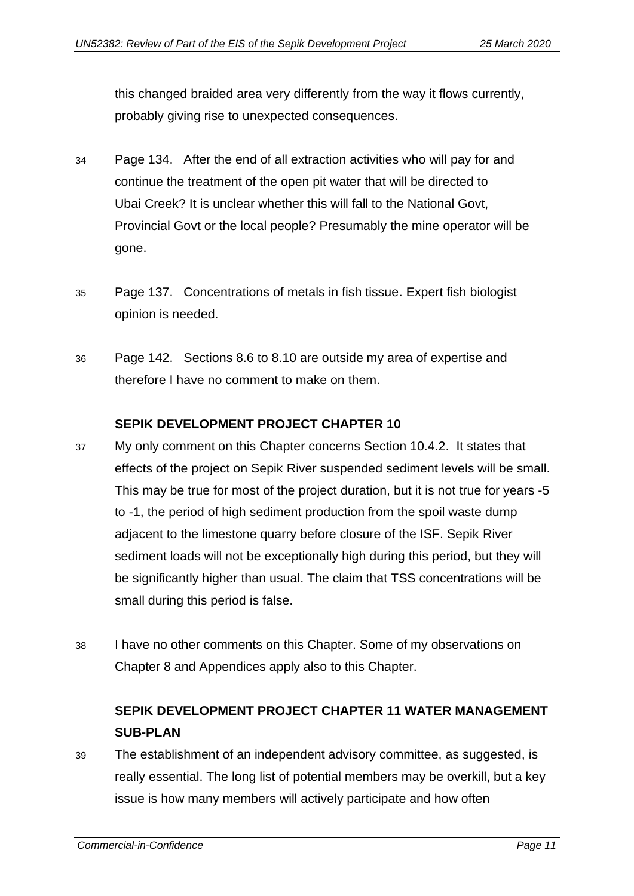this changed braided area very differently from the way it flows currently, probably giving rise to unexpected consequences.

- 34 Page 134. After the end of all extraction activities who will pay for and continue the treatment of the open pit water that will be directed to Ubai Creek? It is unclear whether this will fall to the National Govt, Provincial Govt or the local people? Presumably the mine operator will be gone.
- 35 Page 137. Concentrations of metals in fish tissue. Expert fish biologist opinion is needed.
- 36 Page 142. Sections 8.6 to 8.10 are outside my area of expertise and therefore I have no comment to make on them.

#### **SEPIK DEVELOPMENT PROJECT CHAPTER 10**

- <span id="page-12-0"></span>37 My only comment on this Chapter concerns Section 10.4.2. It states that effects of the project on Sepik River suspended sediment levels will be small. This may be true for most of the project duration, but it is not true for years -5 to -1, the period of high sediment production from the spoil waste dump adjacent to the limestone quarry before closure of the ISF. Sepik River sediment loads will not be exceptionally high during this period, but they will be significantly higher than usual. The claim that TSS concentrations will be small during this period is false.
- 38 I have no other comments on this Chapter. Some of my observations on Chapter 8 and Appendices apply also to this Chapter.

# <span id="page-12-1"></span>**SEPIK DEVELOPMENT PROJECT CHAPTER 11 WATER MANAGEMENT SUB-PLAN**

39 The establishment of an independent advisory committee, as suggested, is really essential. The long list of potential members may be overkill, but a key issue is how many members will actively participate and how often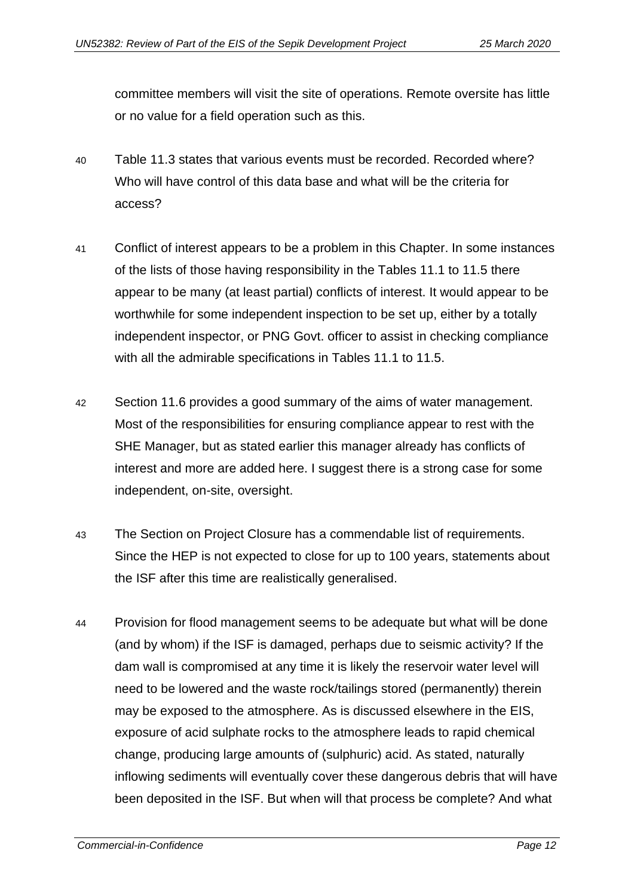committee members will visit the site of operations. Remote oversite has little or no value for a field operation such as this.

- 40 Table 11.3 states that various events must be recorded. Recorded where? Who will have control of this data base and what will be the criteria for access?
- 41 Conflict of interest appears to be a problem in this Chapter. In some instances of the lists of those having responsibility in the Tables 11.1 to 11.5 there appear to be many (at least partial) conflicts of interest. It would appear to be worthwhile for some independent inspection to be set up, either by a totally independent inspector, or PNG Govt. officer to assist in checking compliance with all the admirable specifications in Tables 11.1 to 11.5.
- 42 Section 11.6 provides a good summary of the aims of water management. Most of the responsibilities for ensuring compliance appear to rest with the SHE Manager, but as stated earlier this manager already has conflicts of interest and more are added here. I suggest there is a strong case for some independent, on-site, oversight.
- 43 The Section on Project Closure has a commendable list of requirements. Since the HEP is not expected to close for up to 100 years, statements about the ISF after this time are realistically generalised.
- 44 Provision for flood management seems to be adequate but what will be done (and by whom) if the ISF is damaged, perhaps due to seismic activity? If the dam wall is compromised at any time it is likely the reservoir water level will need to be lowered and the waste rock/tailings stored (permanently) therein may be exposed to the atmosphere. As is discussed elsewhere in the EIS, exposure of acid sulphate rocks to the atmosphere leads to rapid chemical change, producing large amounts of (sulphuric) acid. As stated, naturally inflowing sediments will eventually cover these dangerous debris that will have been deposited in the ISF. But when will that process be complete? And what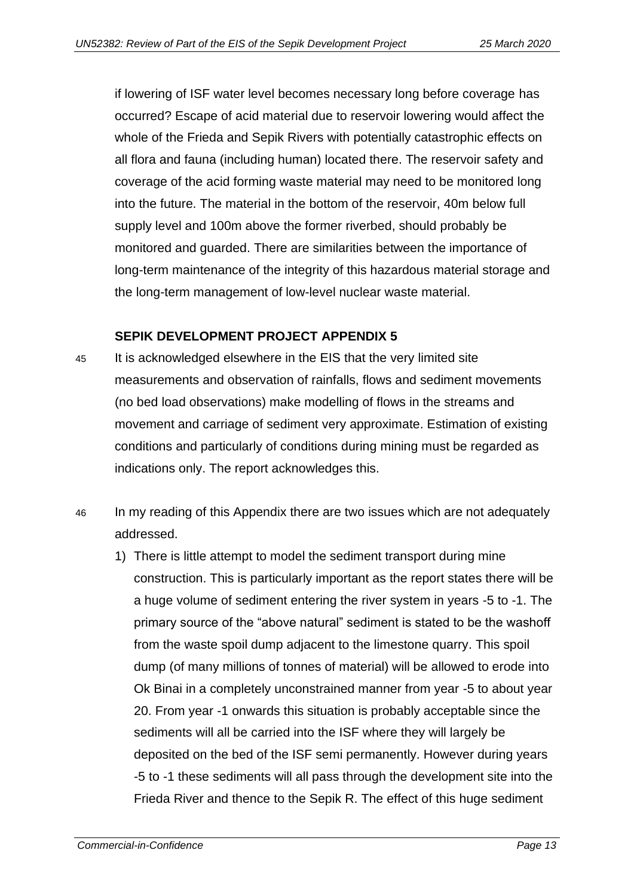if lowering of ISF water level becomes necessary long before coverage has occurred? Escape of acid material due to reservoir lowering would affect the whole of the Frieda and Sepik Rivers with potentially catastrophic effects on all flora and fauna (including human) located there. The reservoir safety and coverage of the acid forming waste material may need to be monitored long into the future. The material in the bottom of the reservoir, 40m below full supply level and 100m above the former riverbed, should probably be monitored and guarded. There are similarities between the importance of long-term maintenance of the integrity of this hazardous material storage and the long-term management of low-level nuclear waste material.

#### **SEPIK DEVELOPMENT PROJECT APPENDIX 5**

- <span id="page-14-0"></span>45 It is acknowledged elsewhere in the EIS that the very limited site measurements and observation of rainfalls, flows and sediment movements (no bed load observations) make modelling of flows in the streams and movement and carriage of sediment very approximate. Estimation of existing conditions and particularly of conditions during mining must be regarded as indications only. The report acknowledges this.
- 46 In my reading of this Appendix there are two issues which are not adequately addressed.
	- 1) There is little attempt to model the sediment transport during mine construction. This is particularly important as the report states there will be a huge volume of sediment entering the river system in years -5 to -1. The primary source of the "above natural" sediment is stated to be the washoff from the waste spoil dump adjacent to the limestone quarry. This spoil dump (of many millions of tonnes of material) will be allowed to erode into Ok Binai in a completely unconstrained manner from year -5 to about year 20. From year -1 onwards this situation is probably acceptable since the sediments will all be carried into the ISF where they will largely be deposited on the bed of the ISF semi permanently. However during years -5 to -1 these sediments will all pass through the development site into the Frieda River and thence to the Sepik R. The effect of this huge sediment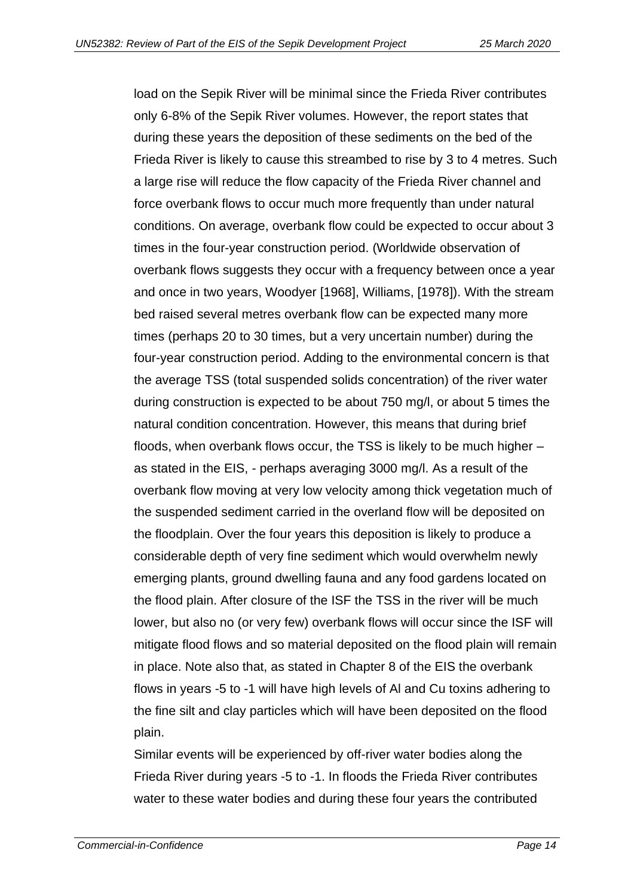load on the Sepik River will be minimal since the Frieda River contributes only 6-8% of the Sepik River volumes. However, the report states that during these years the deposition of these sediments on the bed of the Frieda River is likely to cause this streambed to rise by 3 to 4 metres. Such a large rise will reduce the flow capacity of the Frieda River channel and force overbank flows to occur much more frequently than under natural conditions. On average, overbank flow could be expected to occur about 3 times in the four-year construction period. (Worldwide observation of overbank flows suggests they occur with a frequency between once a year and once in two years, Woodyer [1968], Williams, [1978]). With the stream bed raised several metres overbank flow can be expected many more times (perhaps 20 to 30 times, but a very uncertain number) during the four-year construction period. Adding to the environmental concern is that the average TSS (total suspended solids concentration) of the river water during construction is expected to be about 750 mg/l, or about 5 times the natural condition concentration. However, this means that during brief floods, when overbank flows occur, the TSS is likely to be much higher – as stated in the EIS, - perhaps averaging 3000 mg/l. As a result of the overbank flow moving at very low velocity among thick vegetation much of the suspended sediment carried in the overland flow will be deposited on the floodplain. Over the four years this deposition is likely to produce a considerable depth of very fine sediment which would overwhelm newly emerging plants, ground dwelling fauna and any food gardens located on the flood plain. After closure of the ISF the TSS in the river will be much lower, but also no (or very few) overbank flows will occur since the ISF will mitigate flood flows and so material deposited on the flood plain will remain in place. Note also that, as stated in Chapter 8 of the EIS the overbank flows in years -5 to -1 will have high levels of Al and Cu toxins adhering to the fine silt and clay particles which will have been deposited on the flood plain.

Similar events will be experienced by off-river water bodies along the Frieda River during years -5 to -1. In floods the Frieda River contributes water to these water bodies and during these four years the contributed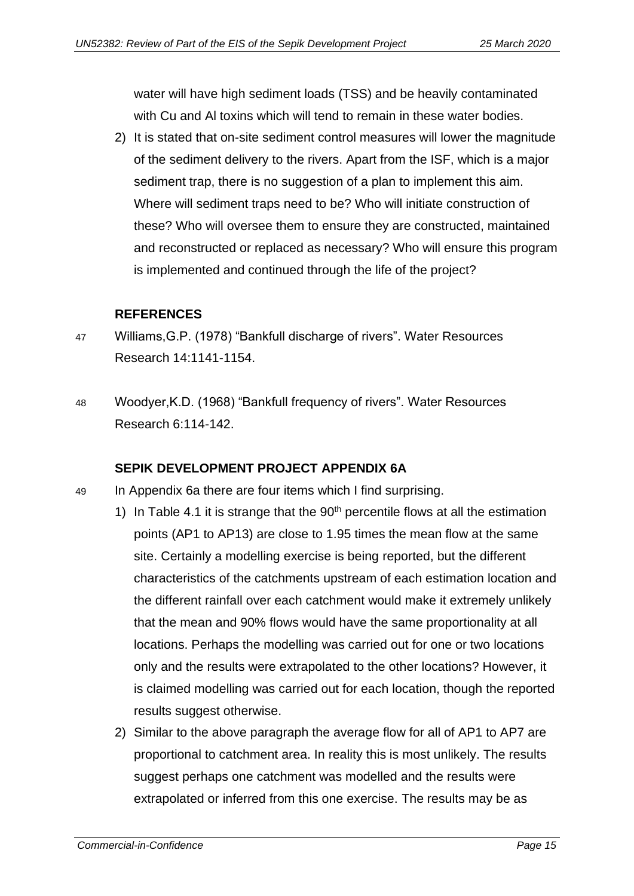water will have high sediment loads (TSS) and be heavily contaminated with Cu and Al toxins which will tend to remain in these water bodies.

2) It is stated that on-site sediment control measures will lower the magnitude of the sediment delivery to the rivers. Apart from the ISF, which is a major sediment trap, there is no suggestion of a plan to implement this aim. Where will sediment traps need to be? Who will initiate construction of these? Who will oversee them to ensure they are constructed, maintained and reconstructed or replaced as necessary? Who will ensure this program is implemented and continued through the life of the project?

#### **REFERENCES**

- <span id="page-16-0"></span>47 Williams,G.P. (1978) "Bankfull discharge of rivers". Water Resources Research 14:1141-1154.
- 48 Woodyer,K.D. (1968) "Bankfull frequency of rivers". Water Resources Research 6:114-142.

#### **SEPIK DEVELOPMENT PROJECT APPENDIX 6A**

- <span id="page-16-1"></span>49 In Appendix 6a there are four items which I find surprising.
	- 1) In Table 4.1 it is strange that the  $90<sup>th</sup>$  percentile flows at all the estimation points (AP1 to AP13) are close to 1.95 times the mean flow at the same site. Certainly a modelling exercise is being reported, but the different characteristics of the catchments upstream of each estimation location and the different rainfall over each catchment would make it extremely unlikely that the mean and 90% flows would have the same proportionality at all locations. Perhaps the modelling was carried out for one or two locations only and the results were extrapolated to the other locations? However, it is claimed modelling was carried out for each location, though the reported results suggest otherwise.
	- 2) Similar to the above paragraph the average flow for all of AP1 to AP7 are proportional to catchment area. In reality this is most unlikely. The results suggest perhaps one catchment was modelled and the results were extrapolated or inferred from this one exercise. The results may be as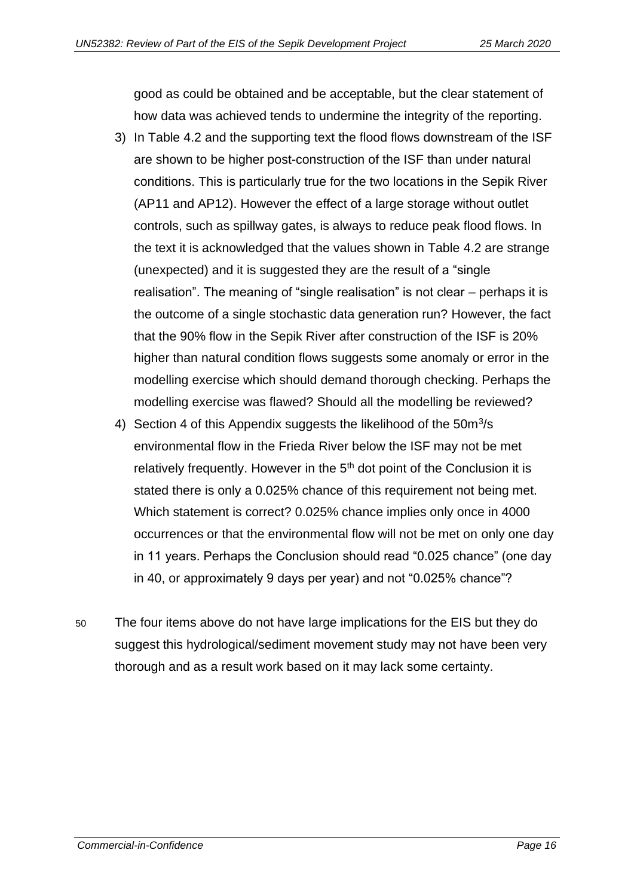good as could be obtained and be acceptable, but the clear statement of how data was achieved tends to undermine the integrity of the reporting.

- 3) In Table 4.2 and the supporting text the flood flows downstream of the ISF are shown to be higher post-construction of the ISF than under natural conditions. This is particularly true for the two locations in the Sepik River (AP11 and AP12). However the effect of a large storage without outlet controls, such as spillway gates, is always to reduce peak flood flows. In the text it is acknowledged that the values shown in Table 4.2 are strange (unexpected) and it is suggested they are the result of a "single realisation". The meaning of "single realisation" is not clear – perhaps it is the outcome of a single stochastic data generation run? However, the fact that the 90% flow in the Sepik River after construction of the ISF is 20% higher than natural condition flows suggests some anomaly or error in the modelling exercise which should demand thorough checking. Perhaps the modelling exercise was flawed? Should all the modelling be reviewed?
- 4) Section 4 of this Appendix suggests the likelihood of the  $50m^3/s$ environmental flow in the Frieda River below the ISF may not be met relatively frequently. However in the  $5<sup>th</sup>$  dot point of the Conclusion it is stated there is only a 0.025% chance of this requirement not being met. Which statement is correct? 0.025% chance implies only once in 4000 occurrences or that the environmental flow will not be met on only one day in 11 years. Perhaps the Conclusion should read "0.025 chance" (one day in 40, or approximately 9 days per year) and not "0.025% chance"?
- 50 The four items above do not have large implications for the EIS but they do suggest this hydrological/sediment movement study may not have been very thorough and as a result work based on it may lack some certainty.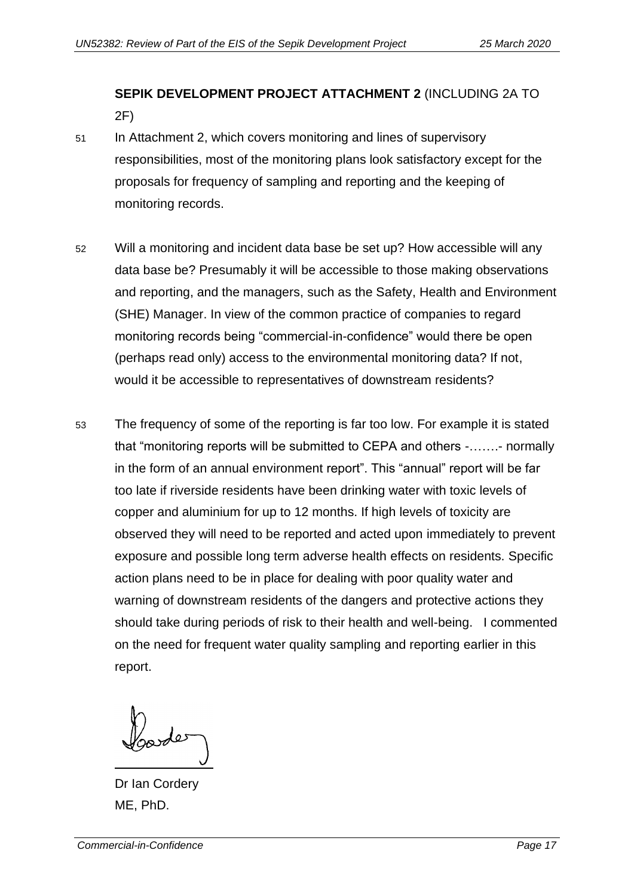## <span id="page-18-0"></span>**SEPIK DEVELOPMENT PROJECT ATTACHMENT 2** (INCLUDING 2A TO 2F)

- 51 In Attachment 2, which covers monitoring and lines of supervisory responsibilities, most of the monitoring plans look satisfactory except for the proposals for frequency of sampling and reporting and the keeping of monitoring records.
- 52 Will a monitoring and incident data base be set up? How accessible will any data base be? Presumably it will be accessible to those making observations and reporting, and the managers, such as the Safety, Health and Environment (SHE) Manager. In view of the common practice of companies to regard monitoring records being "commercial-in-confidence" would there be open (perhaps read only) access to the environmental monitoring data? If not, would it be accessible to representatives of downstream residents?
- 53 The frequency of some of the reporting is far too low. For example it is stated that "monitoring reports will be submitted to CEPA and others -…….- normally in the form of an annual environment report". This "annual" report will be far too late if riverside residents have been drinking water with toxic levels of copper and aluminium for up to 12 months. If high levels of toxicity are observed they will need to be reported and acted upon immediately to prevent exposure and possible long term adverse health effects on residents. Specific action plans need to be in place for dealing with poor quality water and warning of downstream residents of the dangers and protective actions they should take during periods of risk to their health and well-being. I commented on the need for frequent water quality sampling and reporting earlier in this report.

Dr Ian Cordery ME, PhD.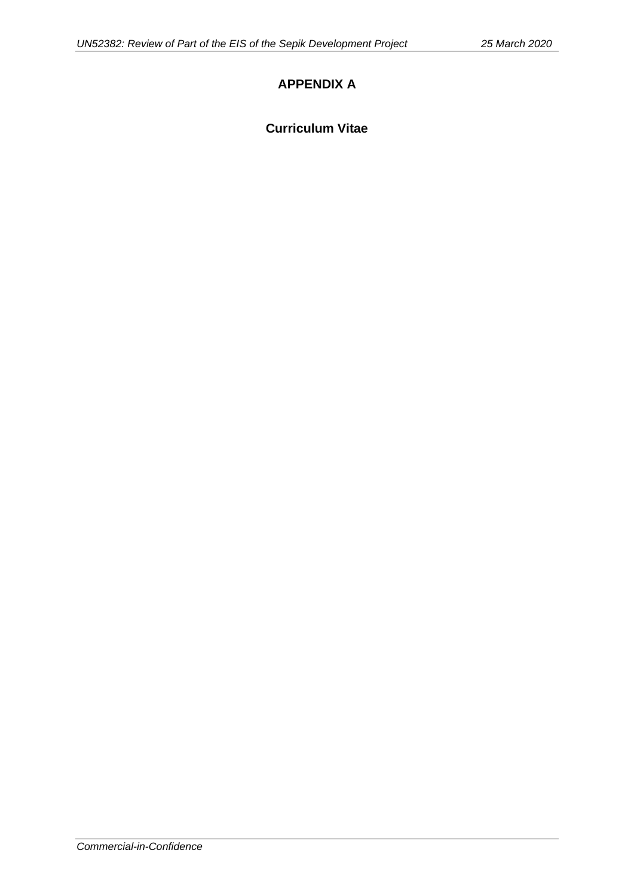### **APPENDIX A**

#### **Curriculum Vitae**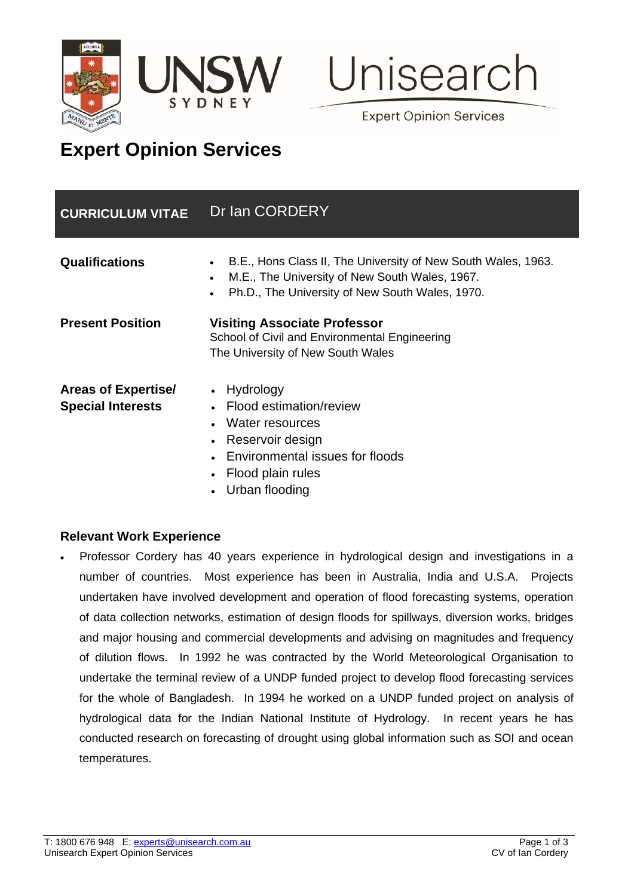



**Expert Opinion Services** 

# **Expert Opinion Services**

| <b>CURRICULUM VITAE</b>                                | Dr Ian CORDERY                                                                                                                                                                  |
|--------------------------------------------------------|---------------------------------------------------------------------------------------------------------------------------------------------------------------------------------|
| <b>Qualifications</b>                                  | B.E., Hons Class II, The University of New South Wales, 1963.<br>M.E., The University of New South Wales, 1967.<br>$\bullet$<br>Ph.D., The University of New South Wales, 1970. |
| <b>Present Position</b>                                | <b>Visiting Associate Professor</b><br>School of Civil and Environmental Engineering<br>The University of New South Wales                                                       |
| <b>Areas of Expertise/</b><br><b>Special Interests</b> | Hydrology<br>Flood estimation/review<br>Water resources<br>Reservoir design<br>Environmental issues for floods<br>Flood plain rules                                             |

• Urban flooding

#### **Relevant Work Experience**

• Professor Cordery has 40 years experience in hydrological design and investigations in a number of countries. Most experience has been in Australia, India and U.S.A. Projects undertaken have involved development and operation of flood forecasting systems, operation of data collection networks, estimation of design floods for spillways, diversion works, bridges and major housing and commercial developments and advising on magnitudes and frequency of dilution flows. In 1992 he was contracted by the World Meteorological Organisation to undertake the terminal review of a UNDP funded project to develop flood forecasting services for the whole of Bangladesh. In 1994 he worked on a UNDP funded project on analysis of hydrological data for the Indian National Institute of Hydrology. In recent years he has conducted research on forecasting of drought using global information such as SOI and ocean temperatures.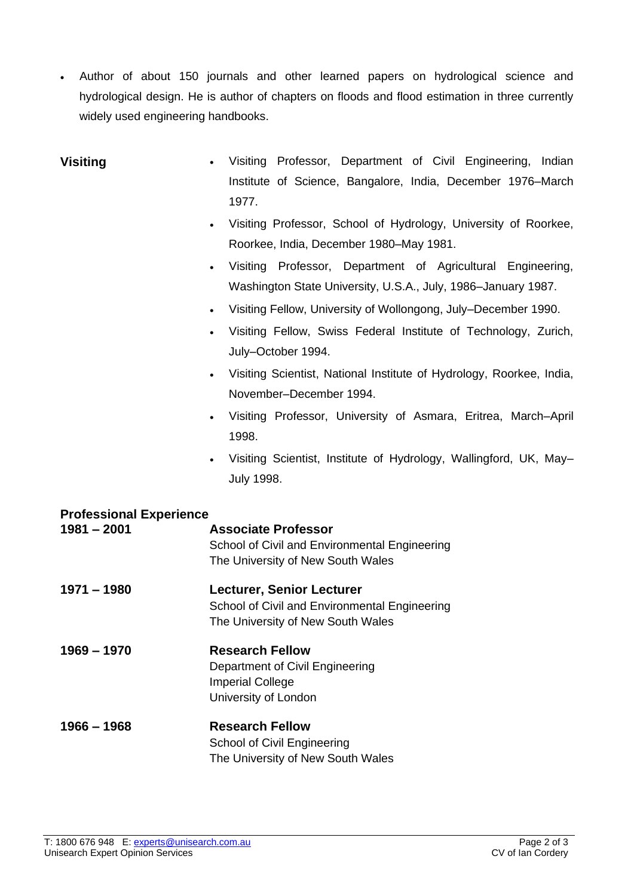• Author of about 150 journals and other learned papers on hydrological science and hydrological design. He is author of chapters on floods and flood estimation in three currently widely used engineering handbooks.

# **Visiting** • Visiting Professor, Department of Civil Engineering, Indian Institute of Science, Bangalore, India, December 1976–March 1977.

- Visiting Professor, School of Hydrology, University of Roorkee, Roorkee, India, December 1980–May 1981.
- Visiting Professor, Department of Agricultural Engineering, Washington State University, U.S.A., July, 1986–January 1987.
- Visiting Fellow, University of Wollongong, July–December 1990.
- Visiting Fellow, Swiss Federal Institute of Technology, Zurich, July–October 1994.
- Visiting Scientist, National Institute of Hydrology, Roorkee, India, November–December 1994.
- Visiting Professor, University of Asmara, Eritrea, March–April 1998.
- Visiting Scientist, Institute of Hydrology, Wallingford, UK, May– July 1998.

## **Professional Experience 1981 – 2001 Associate Professor** School of Civil and Environmental Engineering The University of New South Wales **1971 – 1980 Lecturer, Senior Lecturer** School of Civil and Environmental Engineering The University of New South Wales **1969 – 1970 Research Fellow** Department of Civil Engineering Imperial College University of London **1966 – 1968 Research Fellow** School of Civil Engineering The University of New South Wales